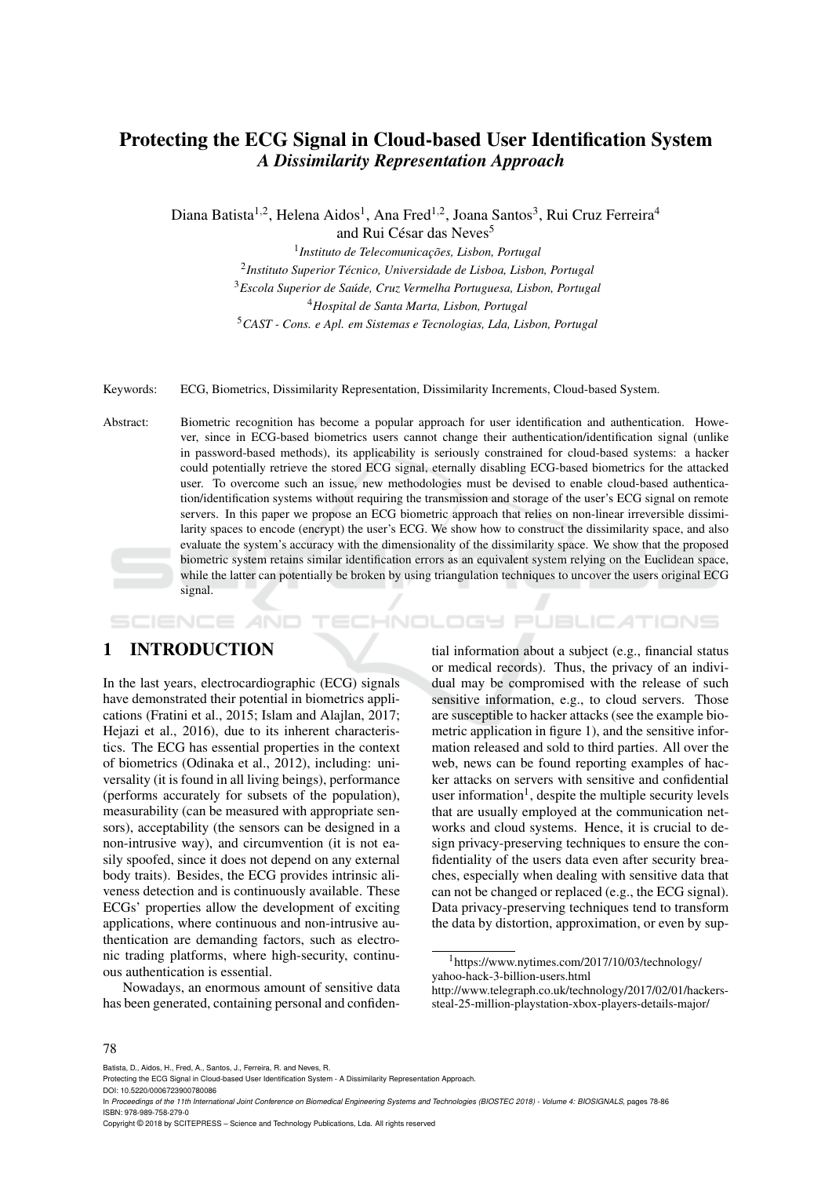# Protecting the ECG Signal in Cloud-based User Identification System *A Dissimilarity Representation Approach*

Diana Batista<sup>1,2</sup>, Helena Aidos<sup>1</sup>, Ana Fred<sup>1,2</sup>, Joana Santos<sup>3</sup>, Rui Cruz Ferreira<sup>4</sup> and Rui César das Neves<sup>5</sup>

<sup>1</sup> Instituto de Telecomunicações, Lisbon, Portugal *Instituto Superior Tecnico, Universidade de Lisboa, Lisbon, Portugal ´ Escola Superior de Saude, Cruz Vermelha Portuguesa, Lisbon, Portugal ´ Hospital de Santa Marta, Lisbon, Portugal CAST - Cons. e Apl. em Sistemas e Tecnologias, Lda, Lisbon, Portugal*

Keywords: ECG, Biometrics, Dissimilarity Representation, Dissimilarity Increments, Cloud-based System.

Abstract: Biometric recognition has become a popular approach for user identification and authentication. However, since in ECG-based biometrics users cannot change their authentication/identification signal (unlike in password-based methods), its applicability is seriously constrained for cloud-based systems: a hacker could potentially retrieve the stored ECG signal, eternally disabling ECG-based biometrics for the attacked user. To overcome such an issue, new methodologies must be devised to enable cloud-based authentication/identification systems without requiring the transmission and storage of the user's ECG signal on remote servers. In this paper we propose an ECG biometric approach that relies on non-linear irreversible dissimilarity spaces to encode (encrypt) the user's ECG. We show how to construct the dissimilarity space, and also evaluate the system's accuracy with the dimensionality of the dissimilarity space. We show that the proposed biometric system retains similar identification errors as an equivalent system relying on the Euclidean space, while the latter can potentially be broken by using triangulation techniques to uncover the users original ECG signal.

#### HNOLOGY PUBLICATIONS SCIENCE *A*ND

# 1 INTRODUCTION

In the last years, electrocardiographic (ECG) signals have demonstrated their potential in biometrics applications (Fratini et al., 2015; Islam and Alajlan, 2017; Hejazi et al., 2016), due to its inherent characteristics. The ECG has essential properties in the context of biometrics (Odinaka et al., 2012), including: universality (it is found in all living beings), performance (performs accurately for subsets of the population), measurability (can be measured with appropriate sensors), acceptability (the sensors can be designed in a non-intrusive way), and circumvention (it is not easily spoofed, since it does not depend on any external body traits). Besides, the ECG provides intrinsic aliveness detection and is continuously available. These ECGs' properties allow the development of exciting applications, where continuous and non-intrusive authentication are demanding factors, such as electronic trading platforms, where high-security, continuous authentication is essential.

Nowadays, an enormous amount of sensitive data has been generated, containing personal and confiden-

tial information about a subject (e.g., financial status or medical records). Thus, the privacy of an individual may be compromised with the release of such sensitive information, e.g., to cloud servers. Those are susceptible to hacker attacks (see the example biometric application in figure 1), and the sensitive information released and sold to third parties. All over the web, news can be found reporting examples of hacker attacks on servers with sensitive and confidential user information<sup>1</sup>, despite the multiple security levels that are usually employed at the communication networks and cloud systems. Hence, it is crucial to design privacy-preserving techniques to ensure the confidentiality of the users data even after security breaches, especially when dealing with sensitive data that can not be changed or replaced (e.g., the ECG signal). Data privacy-preserving techniques tend to transform the data by distortion, approximation, or even by sup-

#### 78

Batista, D., Aidos, H., Fred, A., Santos, J., Ferreira, R. and Neves, R.

DOI: 10.5220/0006723900780086

In *Proceedings of the 11th International Joint Conference on Biomedical Engineering Systems and Technologies (BIOSTEC 2018) - Volume 4: BIOSIGNALS*, pages 78-86 ISBN: 978-989-758-279-0

Copyright © 2018 by SCITEPRESS – Science and Technology Publications, Lda. All rights reserved

<sup>1</sup>https://www.nytimes.com/2017/10/03/technology/ yahoo-hack-3-billion-users.html

http://www.telegraph.co.uk/technology/2017/02/01/hackerssteal-25-million-playstation-xbox-players-details-major/

Protecting the ECG Signal in Cloud-based User Identification System - A Dissimilarity Representation Approach.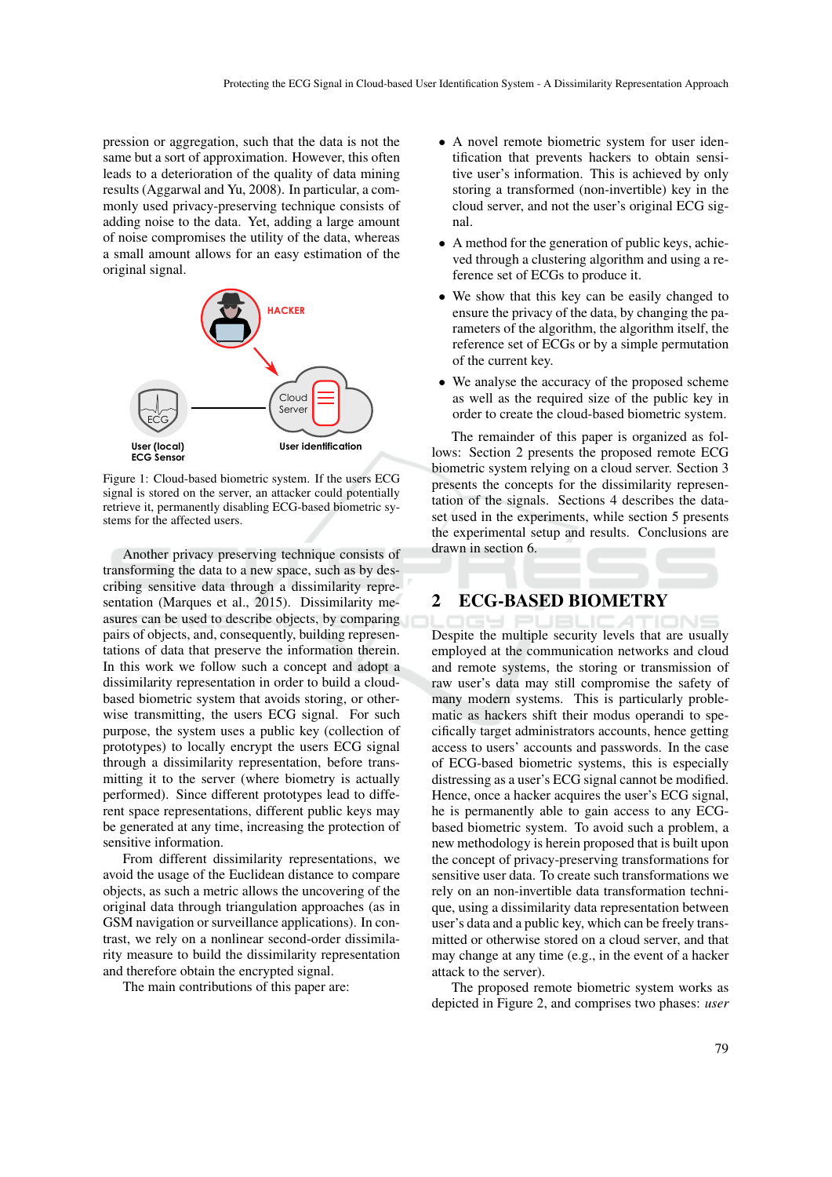pression or aggregation, such that the data is not the same but a sort of approximation. However, this often leads to a deterioration of the quality of data mining results (Aggarwal and Yu, 2008). In particular, a commonly used privacy-preserving technique consists of adding noise to the data. Yet, adding a large amount of noise compromises the utility of the data, whereas a small amount allows for an easy estimation of the original signal.



Figure 1: Cloud-based biometric system. If the users ECG signal is stored on the server, an attacker could potentially retrieve it, permanently disabling ECG-based biometric systems for the affected users.

Another privacy preserving technique consists of transforming the data to a new space, such as by describing sensitive data through a dissimilarity representation (Marques et al., 2015). Dissimilarity measures can be used to describe objects, by comparing pairs of objects, and, consequently, building representations of data that preserve the information therein. In this work we follow such a concept and adopt a dissimilarity representation in order to build a cloudbased biometric system that avoids storing, or otherwise transmitting, the users ECG signal. For such purpose, the system uses a public key (collection of prototypes) to locally encrypt the users ECG signal through a dissimilarity representation, before transmitting it to the server (where biometry is actually performed). Since different prototypes lead to different space representations, different public keys may be generated at any time, increasing the protection of sensitive information.

From different dissimilarity representations, we avoid the usage of the Euclidean distance to compare objects, as such a metric allows the uncovering of the original data through triangulation approaches (as in GSM navigation or surveillance applications). In contrast, we rely on a nonlinear second-order dissimilarity measure to build the dissimilarity representation and therefore obtain the encrypted signal.

The main contributions of this paper are:

- A novel remote biometric system for user identification that prevents hackers to obtain sensitive user's information. This is achieved by only storing a transformed (non-invertible) key in the cloud server, and not the user's original ECG signal.
- A method for the generation of public keys, achieved through a clustering algorithm and using a reference set of ECGs to produce it.
- We show that this key can be easily changed to ensure the privacy of the data, by changing the parameters of the algorithm, the algorithm itself, the reference set of ECGs or by a simple permutation of the current key.
- We analyse the accuracy of the proposed scheme as well as the required size of the public key in order to create the cloud-based biometric system.

The remainder of this paper is organized as follows: Section 2 presents the proposed remote ECG biometric system relying on a cloud server. Section 3 presents the concepts for the dissimilarity representation of the signals. Sections 4 describes the dataset used in the experiments, while section 5 presents the experimental setup and results. Conclusions are drawn in section 6.

### 2 ECG-BASED BIOMETRY

Despite the multiple security levels that are usually employed at the communication networks and cloud and remote systems, the storing or transmission of raw user's data may still compromise the safety of many modern systems. This is particularly problematic as hackers shift their modus operandi to specifically target administrators accounts, hence getting access to users' accounts and passwords. In the case of ECG-based biometric systems, this is especially distressing as a user's ECG signal cannot be modified. Hence, once a hacker acquires the user's ECG signal, he is permanently able to gain access to any ECGbased biometric system. To avoid such a problem, a new methodology is herein proposed that is built upon the concept of privacy-preserving transformations for sensitive user data. To create such transformations we rely on an non-invertible data transformation technique, using a dissimilarity data representation between user's data and a public key, which can be freely transmitted or otherwise stored on a cloud server, and that may change at any time (e.g., in the event of a hacker attack to the server).

The proposed remote biometric system works as depicted in Figure 2, and comprises two phases: *user*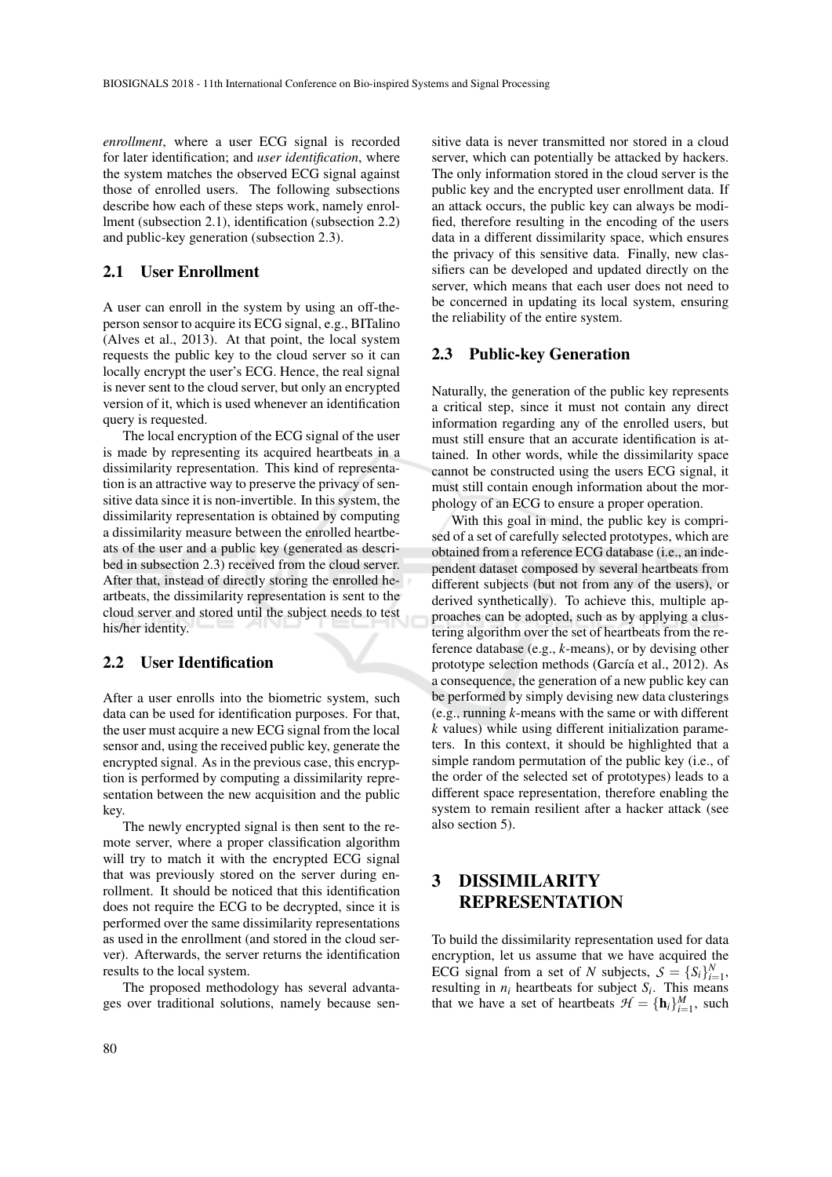*enrollment*, where a user ECG signal is recorded for later identification; and *user identification*, where the system matches the observed ECG signal against those of enrolled users. The following subsections describe how each of these steps work, namely enrollment (subsection 2.1), identification (subsection 2.2) and public-key generation (subsection 2.3).

### 2.1 User Enrollment

A user can enroll in the system by using an off-theperson sensor to acquire its ECG signal, e.g., BITalino (Alves et al., 2013). At that point, the local system requests the public key to the cloud server so it can locally encrypt the user's ECG. Hence, the real signal is never sent to the cloud server, but only an encrypted version of it, which is used whenever an identification query is requested.

The local encryption of the ECG signal of the user is made by representing its acquired heartbeats in a dissimilarity representation. This kind of representation is an attractive way to preserve the privacy of sensitive data since it is non-invertible. In this system, the dissimilarity representation is obtained by computing a dissimilarity measure between the enrolled heartbeats of the user and a public key (generated as described in subsection 2.3) received from the cloud server. After that, instead of directly storing the enrolled heartbeats, the dissimilarity representation is sent to the cloud server and stored until the subject needs to test his/her identity.

### 2.2 User Identification

After a user enrolls into the biometric system, such data can be used for identification purposes. For that, the user must acquire a new ECG signal from the local sensor and, using the received public key, generate the encrypted signal. As in the previous case, this encryption is performed by computing a dissimilarity representation between the new acquisition and the public key.

The newly encrypted signal is then sent to the remote server, where a proper classification algorithm will try to match it with the encrypted ECG signal that was previously stored on the server during enrollment. It should be noticed that this identification does not require the ECG to be decrypted, since it is performed over the same dissimilarity representations as used in the enrollment (and stored in the cloud server). Afterwards, the server returns the identification results to the local system.

The proposed methodology has several advantages over traditional solutions, namely because sen-

sitive data is never transmitted nor stored in a cloud server, which can potentially be attacked by hackers. The only information stored in the cloud server is the public key and the encrypted user enrollment data. If an attack occurs, the public key can always be modified, therefore resulting in the encoding of the users data in a different dissimilarity space, which ensures the privacy of this sensitive data. Finally, new classifiers can be developed and updated directly on the server, which means that each user does not need to be concerned in updating its local system, ensuring the reliability of the entire system.

### 2.3 Public-key Generation

Naturally, the generation of the public key represents a critical step, since it must not contain any direct information regarding any of the enrolled users, but must still ensure that an accurate identification is attained. In other words, while the dissimilarity space cannot be constructed using the users ECG signal, it must still contain enough information about the morphology of an ECG to ensure a proper operation.

With this goal in mind, the public key is comprised of a set of carefully selected prototypes, which are obtained from a reference ECG database (i.e., an independent dataset composed by several heartbeats from different subjects (but not from any of the users), or derived synthetically). To achieve this, multiple approaches can be adopted, such as by applying a clustering algorithm over the set of heartbeats from the reference database (e.g., *k*-means), or by devising other prototype selection methods (García et al., 2012). As a consequence, the generation of a new public key can be performed by simply devising new data clusterings (e.g., running *k*-means with the same or with different *k* values) while using different initialization parameters. In this context, it should be highlighted that a simple random permutation of the public key (i.e., of the order of the selected set of prototypes) leads to a different space representation, therefore enabling the system to remain resilient after a hacker attack (see also section 5).

# 3 DISSIMILARITY REPRESENTATION

To build the dissimilarity representation used for data encryption, let us assume that we have acquired the ECG signal from a set of *N* subjects,  $S = \{S_i\}_{i=1}^N$ , resulting in  $n_i$  heartbeats for subject  $S_i$ . This means that we have a set of heartbeats  $\mathcal{H} = {\mathbf{h}_i}_{i=1}^M$ , such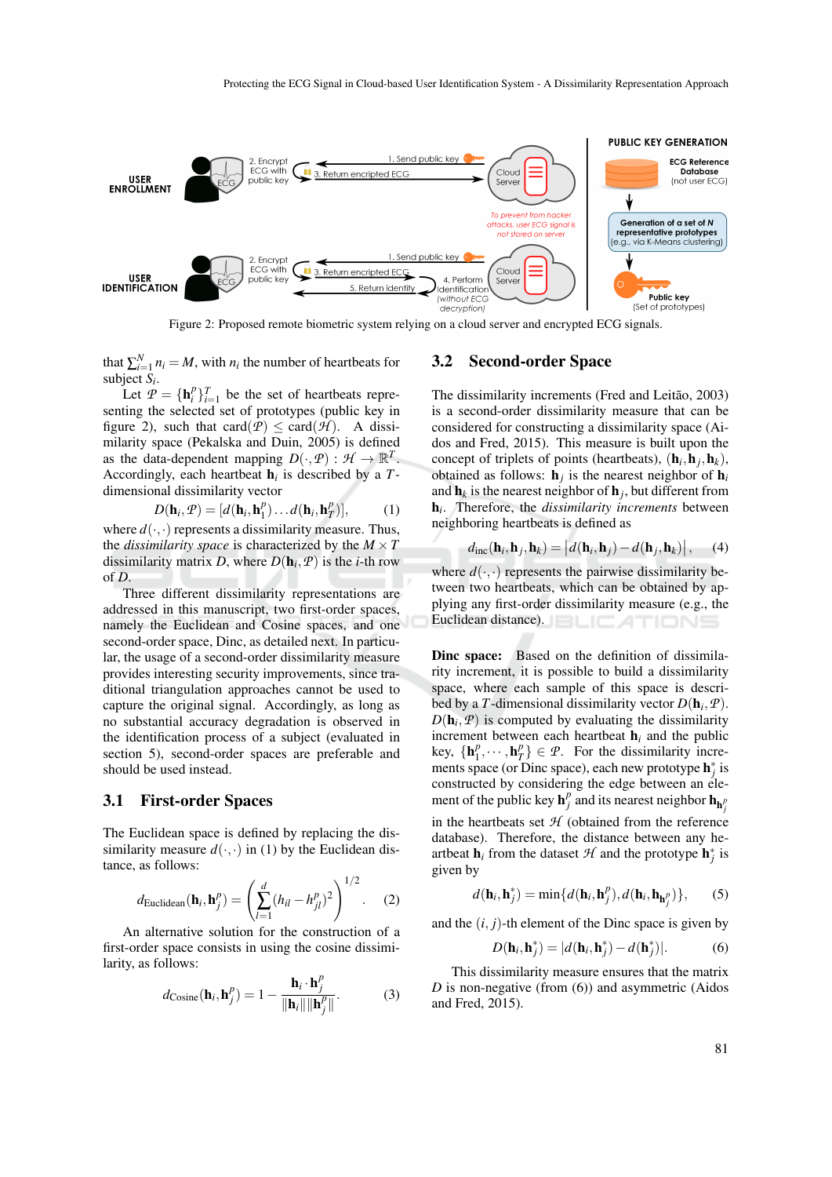

Figure 2: Proposed remote biometric system relying on a cloud server and encrypted ECG signals.

that  $\sum_{i=1}^{N} n_i = M$ , with  $n_i$  the number of heartbeats for subject *S<sup>i</sup>* .

Let  $P = {\{\mathbf{h}_i^p\}}_{i=1}^T$  be the set of heartbeats representing the selected set of prototypes (public key in figure 2), such that card $(P) \leq \text{card}(\mathcal{H})$ . A dissimilarity space (Pekalska and Duin, 2005) is defined as the data-dependent mapping  $D(\cdot, \mathcal{P}) : \mathcal{H} \to \mathbb{R}^T$ . Accordingly, each heartbeat  $h_i$  is described by a  $T$ dimensional dissimilarity vector

$$
D(\mathbf{h}_i, \mathcal{P}) = [d(\mathbf{h}_i, \mathbf{h}_1^p) \dots d(\mathbf{h}_i, \mathbf{h}_T^p)],\tag{1}
$$

where  $d(\cdot, \cdot)$  represents a dissimilarity measure. Thus, the *dissimilarity space* is characterized by the  $M \times T$ dissimilarity matrix *D*, where  $D(h_i, P)$  is the *i*-th row of *D*.

Three different dissimilarity representations are addressed in this manuscript, two first-order spaces, namely the Euclidean and Cosine spaces, and one second-order space, Dinc, as detailed next. In particular, the usage of a second-order dissimilarity measure provides interesting security improvements, since traditional triangulation approaches cannot be used to capture the original signal. Accordingly, as long as no substantial accuracy degradation is observed in the identification process of a subject (evaluated in section 5), second-order spaces are preferable and should be used instead.

#### 3.1 First-order Spaces

The Euclidean space is defined by replacing the dissimilarity measure  $d(\cdot, \cdot)$  in (1) by the Euclidean distance, as follows:

$$
d_{\text{Euclidean}}(\mathbf{h}_i, \mathbf{h}_j^p) = \left(\sum_{l=1}^d (h_{il} - h_{jl}^p)^2\right)^{1/2}.
$$
 (2)

An alternative solution for the construction of a first-order space consists in using the cosine dissimilarity, as follows:

$$
d_{\text{Cosine}}(\mathbf{h}_i, \mathbf{h}_j^p) = 1 - \frac{\mathbf{h}_i \cdot \mathbf{h}_j^p}{\|\mathbf{h}_i\| \|\mathbf{h}_j^p\|}.
$$
 (3)

#### 3.2 Second-order Space

The dissimilarity increments (Fred and Leitão, 2003) is a second-order dissimilarity measure that can be considered for constructing a dissimilarity space (Aidos and Fred, 2015). This measure is built upon the concept of triplets of points (heartbeats),  $(h_i, h_j, h_k)$ , obtained as follows:  $h_j$  is the nearest neighbor of  $h_i$ and  $\mathbf{h}_k$  is the nearest neighbor of  $\mathbf{h}_j$ , but different from h*i* . Therefore, the *dissimilarity increments* between neighboring heartbeats is defined as

$$
d_{\rm inc}(\mathbf{h}_i, \mathbf{h}_j, \mathbf{h}_k) = \left| d(\mathbf{h}_i, \mathbf{h}_j) - d(\mathbf{h}_j, \mathbf{h}_k) \right|, \quad (4)
$$

where  $d(\cdot, \cdot)$  represents the pairwise dissimilarity between two heartbeats, which can be obtained by applying any first-order dissimilarity measure (e.g., the Euclidean distance). **ELICATIONS** 

Dinc space: Based on the definition of dissimilarity increment, it is possible to build a dissimilarity space, where each sample of this space is described by a *T*-dimensional dissimilarity vector  $D(\mathbf{h}_i, \mathcal{P})$ .  $D(\mathbf{h}_i, \mathcal{P})$  is computed by evaluating the dissimilarity increment between each heartbeat  $h_i$  and the public key, {h *p*  $\{P_1, \cdots, P_T\} \in \mathcal{P}$ . For the dissimilarity increments space (or Dinc space), each new prototype  $\mathbf{h}_j^*$  is constructed by considering the edge between an element of the public key  $\mathbf{h}_j^p$  and its nearest neighbor  $\mathbf{h}_{\mathbf{h}_j^p}$ in the heartbeats set *H* (obtained from the reference

database). Therefore, the distance between any heartbeat  $\mathbf{h}_i$  from the dataset  $\mathcal{H}$  and the prototype  $\mathbf{h}_j^*$  is given by

$$
d(\mathbf{h}_i, \mathbf{h}_j^*) = \min\{d(\mathbf{h}_i, \mathbf{h}_j^p), d(\mathbf{h}_i, \mathbf{h}_{\mathbf{h}_j^p})\},\qquad(5)
$$

and the  $(i, j)$ -th element of the Dinc space is given by

$$
D(\mathbf{h}_i, \mathbf{h}_j^*) = |d(\mathbf{h}_i, \mathbf{h}_j^*) - d(\mathbf{h}_j^*)|.
$$
 (6)

This dissimilarity measure ensures that the matrix *D* is non-negative (from (6)) and asymmetric (Aidos and Fred, 2015).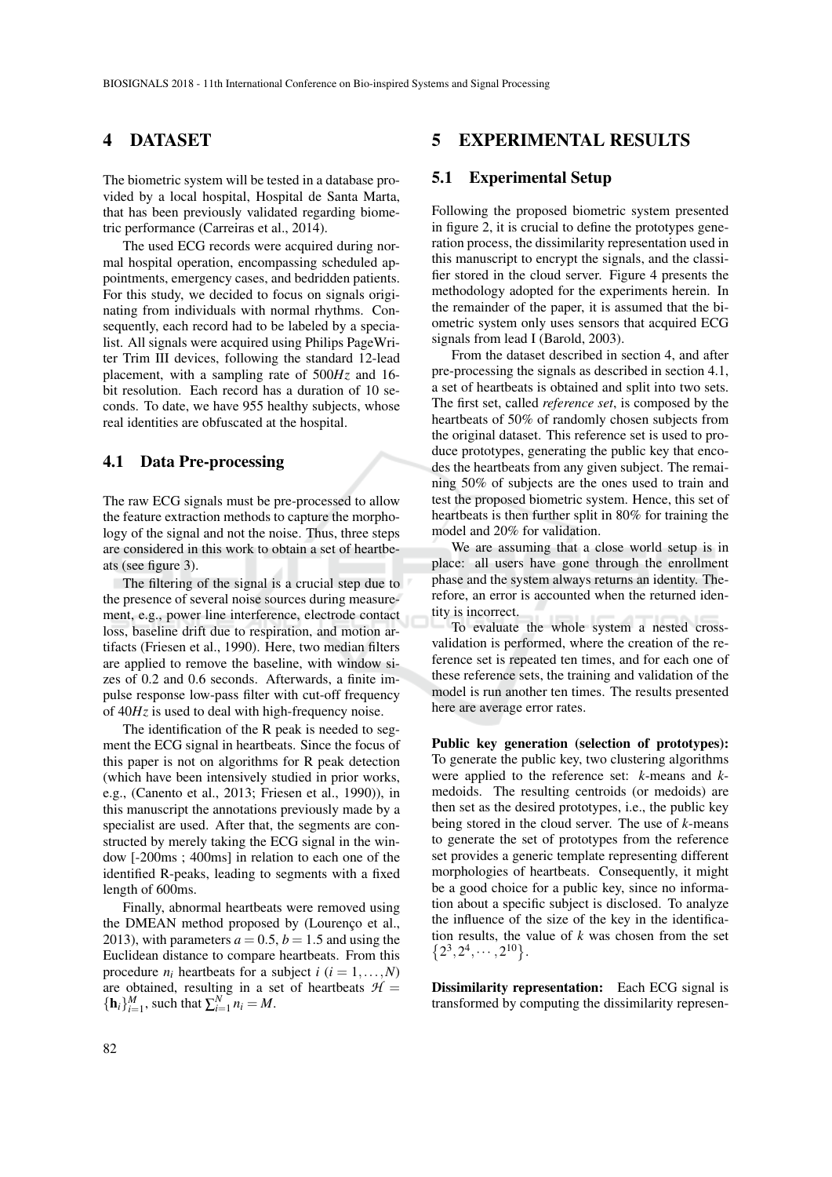# 4 DATASET

The biometric system will be tested in a database provided by a local hospital, Hospital de Santa Marta, that has been previously validated regarding biometric performance (Carreiras et al., 2014).

The used ECG records were acquired during normal hospital operation, encompassing scheduled appointments, emergency cases, and bedridden patients. For this study, we decided to focus on signals originating from individuals with normal rhythms. Consequently, each record had to be labeled by a specialist. All signals were acquired using Philips PageWriter Trim III devices, following the standard 12-lead placement, with a sampling rate of 500*Hz* and 16 bit resolution. Each record has a duration of 10 seconds. To date, we have 955 healthy subjects, whose real identities are obfuscated at the hospital.

#### 4.1 Data Pre-processing

The raw ECG signals must be pre-processed to allow the feature extraction methods to capture the morphology of the signal and not the noise. Thus, three steps are considered in this work to obtain a set of heartbeats (see figure 3).

The filtering of the signal is a crucial step due to the presence of several noise sources during measurement, e.g., power line interference, electrode contact loss, baseline drift due to respiration, and motion artifacts (Friesen et al., 1990). Here, two median filters are applied to remove the baseline, with window sizes of 0.2 and 0.6 seconds. Afterwards, a finite impulse response low-pass filter with cut-off frequency of 40*Hz* is used to deal with high-frequency noise.

The identification of the R peak is needed to segment the ECG signal in heartbeats. Since the focus of this paper is not on algorithms for R peak detection (which have been intensively studied in prior works, e.g., (Canento et al., 2013; Friesen et al., 1990)), in this manuscript the annotations previously made by a specialist are used. After that, the segments are constructed by merely taking the ECG signal in the window [-200ms ; 400ms] in relation to each one of the identified R-peaks, leading to segments with a fixed length of 600ms.

Finally, abnormal heartbeats were removed using the DMEAN method proposed by (Lourenço et al., 2013), with parameters  $a = 0.5$ ,  $b = 1.5$  and using the Euclidean distance to compare heartbeats. From this procedure  $n_i$  heartbeats for a subject  $i$  ( $i = 1, ..., N$ ) are obtained, resulting in a set of heartbeats  $H =$  $\{\mathbf{h}_i\}_{i=1}^M$ , such that  $\sum_{i=1}^N n_i = M$ .

## 5 EXPERIMENTAL RESULTS

### 5.1 Experimental Setup

Following the proposed biometric system presented in figure 2, it is crucial to define the prototypes generation process, the dissimilarity representation used in this manuscript to encrypt the signals, and the classifier stored in the cloud server. Figure 4 presents the methodology adopted for the experiments herein. In the remainder of the paper, it is assumed that the biometric system only uses sensors that acquired ECG signals from lead I (Barold, 2003).

From the dataset described in section 4, and after pre-processing the signals as described in section 4.1, a set of heartbeats is obtained and split into two sets. The first set, called *reference set*, is composed by the heartbeats of 50% of randomly chosen subjects from the original dataset. This reference set is used to produce prototypes, generating the public key that encodes the heartbeats from any given subject. The remaining 50% of subjects are the ones used to train and test the proposed biometric system. Hence, this set of heartbeats is then further split in 80% for training the model and 20% for validation.

We are assuming that a close world setup is in place: all users have gone through the enrollment phase and the system always returns an identity. Therefore, an error is accounted when the returned identity is incorrect.

To evaluate the whole system a nested crossvalidation is performed, where the creation of the reference set is repeated ten times, and for each one of these reference sets, the training and validation of the model is run another ten times. The results presented here are average error rates.

Public key generation (selection of prototypes): To generate the public key, two clustering algorithms were applied to the reference set: *k*-means and *k*medoids. The resulting centroids (or medoids) are then set as the desired prototypes, i.e., the public key being stored in the cloud server. The use of *k*-means to generate the set of prototypes from the reference set provides a generic template representing different morphologies of heartbeats. Consequently, it might be a good choice for a public key, since no information about a specific subject is disclosed. To analyze the influence of the size of the key in the identification results, the value of *k* was chosen from the set  ${2^3,2^4,\cdots,2^{10}}.$ 

Dissimilarity representation: Each ECG signal is transformed by computing the dissimilarity represen-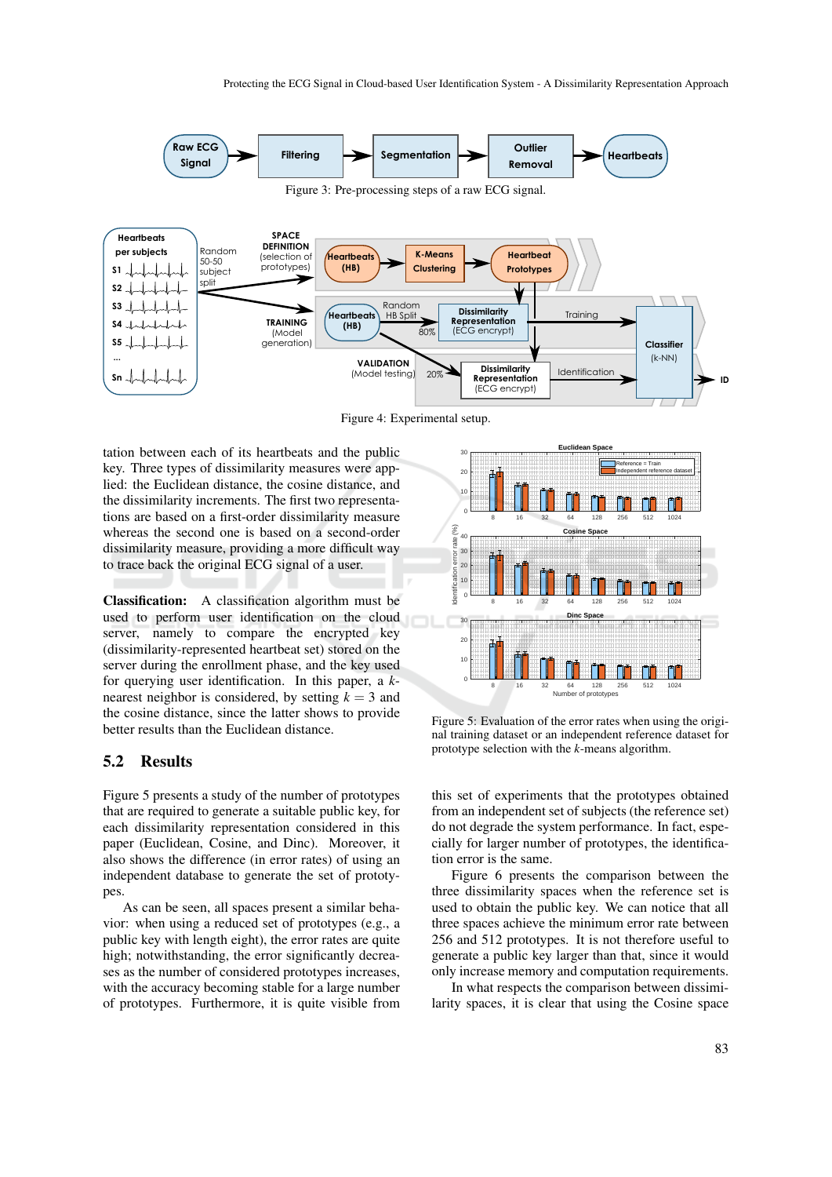

Figure 4: Experimental setup.

tation between each of its heartbeats and the public key. Three types of dissimilarity measures were applied: the Euclidean distance, the cosine distance, and the dissimilarity increments. The first two representations are based on a first-order dissimilarity measure whereas the second one is based on a second-order dissimilarity measure, providing a more difficult way to trace back the original ECG signal of a user.

Classification: A classification algorithm must be used to perform user identification on the cloud server, namely to compare the encrypted key (dissimilarity-represented heartbeat set) stored on the server during the enrollment phase, and the key used for querying user identification. In this paper, a *k*nearest neighbor is considered, by setting  $k = 3$  and the cosine distance, since the latter shows to provide better results than the Euclidean distance.

### 5.2 Results

Figure 5 presents a study of the number of prototypes that are required to generate a suitable public key, for each dissimilarity representation considered in this paper (Euclidean, Cosine, and Dinc). Moreover, it also shows the difference (in error rates) of using an independent database to generate the set of prototypes.

As can be seen, all spaces present a similar behavior: when using a reduced set of prototypes (e.g., a public key with length eight), the error rates are quite high; notwithstanding, the error significantly decreases as the number of considered prototypes increases, with the accuracy becoming stable for a large number of prototypes. Furthermore, it is quite visible from



Figure 5: Evaluation of the error rates when using the original training dataset or an independent reference dataset for prototype selection with the *k*-means algorithm.

this set of experiments that the prototypes obtained from an independent set of subjects (the reference set) do not degrade the system performance. In fact, especially for larger number of prototypes, the identification error is the same.

Figure 6 presents the comparison between the three dissimilarity spaces when the reference set is used to obtain the public key. We can notice that all three spaces achieve the minimum error rate between 256 and 512 prototypes. It is not therefore useful to generate a public key larger than that, since it would only increase memory and computation requirements.

In what respects the comparison between dissimilarity spaces, it is clear that using the Cosine space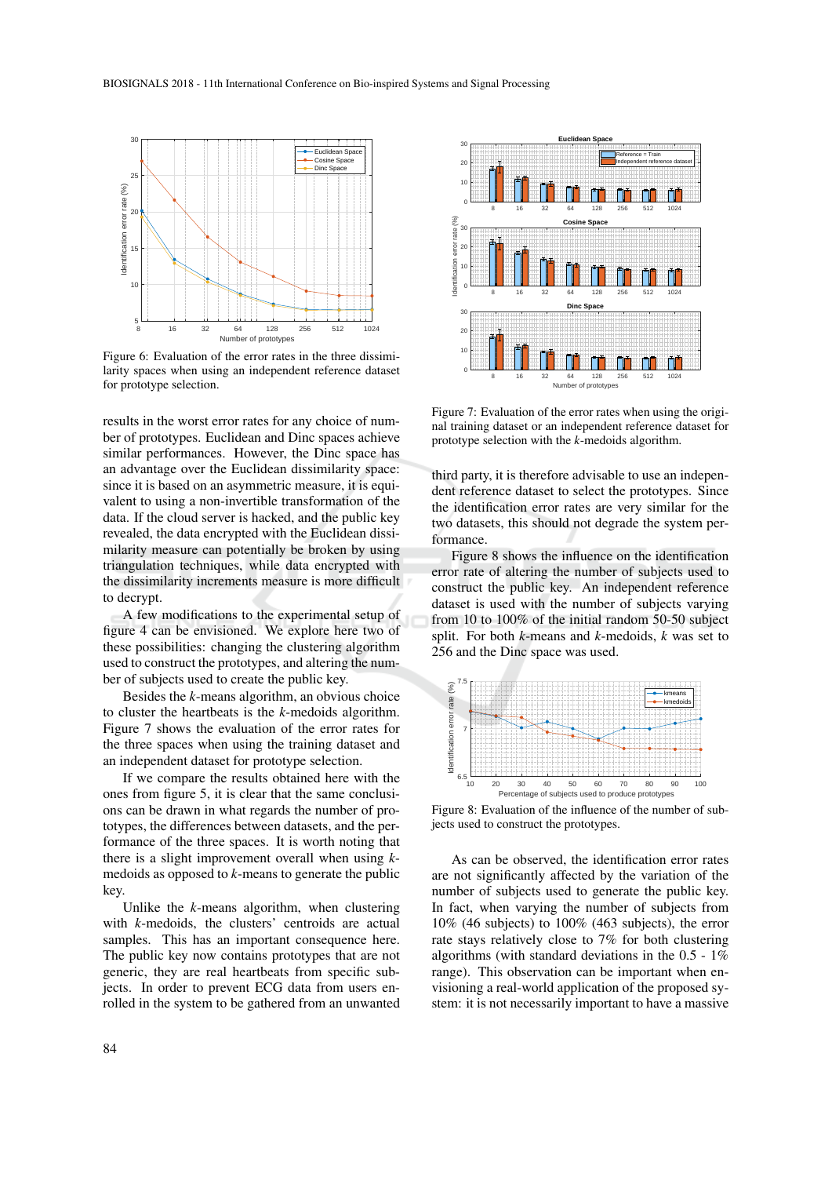

Figure 6: Evaluation of the error rates in the three dissimilarity spaces when using an independent reference dataset for prototype selection.

results in the worst error rates for any choice of number of prototypes. Euclidean and Dinc spaces achieve similar performances. However, the Dinc space has an advantage over the Euclidean dissimilarity space: since it is based on an asymmetric measure, it is equivalent to using a non-invertible transformation of the data. If the cloud server is hacked, and the public key revealed, the data encrypted with the Euclidean dissimilarity measure can potentially be broken by using triangulation techniques, while data encrypted with the dissimilarity increments measure is more difficult to decrypt.

A few modifications to the experimental setup of figure 4 can be envisioned. We explore here two of these possibilities: changing the clustering algorithm used to construct the prototypes, and altering the number of subjects used to create the public key.

Besides the *k*-means algorithm, an obvious choice to cluster the heartbeats is the *k*-medoids algorithm. Figure 7 shows the evaluation of the error rates for the three spaces when using the training dataset and an independent dataset for prototype selection.

If we compare the results obtained here with the ones from figure 5, it is clear that the same conclusions can be drawn in what regards the number of prototypes, the differences between datasets, and the performance of the three spaces. It is worth noting that there is a slight improvement overall when using *k*medoids as opposed to *k*-means to generate the public key.

Unlike the *k*-means algorithm, when clustering with *k*-medoids, the clusters' centroids are actual samples. This has an important consequence here. The public key now contains prototypes that are not generic, they are real heartbeats from specific subjects. In order to prevent ECG data from users enrolled in the system to be gathered from an unwanted



Figure 7: Evaluation of the error rates when using the original training dataset or an independent reference dataset for prototype selection with the *k*-medoids algorithm.

third party, it is therefore advisable to use an independent reference dataset to select the prototypes. Since the identification error rates are very similar for the two datasets, this should not degrade the system performance.

Figure 8 shows the influence on the identification error rate of altering the number of subjects used to construct the public key. An independent reference dataset is used with the number of subjects varying from 10 to 100% of the initial random 50-50 subject split. For both *k*-means and *k*-medoids, *k* was set to 256 and the Dinc space was used.



Figure 8: Evaluation of the influence of the number of subjects used to construct the prototypes.

As can be observed, the identification error rates are not significantly affected by the variation of the number of subjects used to generate the public key. In fact, when varying the number of subjects from 10% (46 subjects) to 100% (463 subjects), the error rate stays relatively close to 7% for both clustering algorithms (with standard deviations in the  $0.5 - 1\%$ range). This observation can be important when envisioning a real-world application of the proposed system: it is not necessarily important to have a massive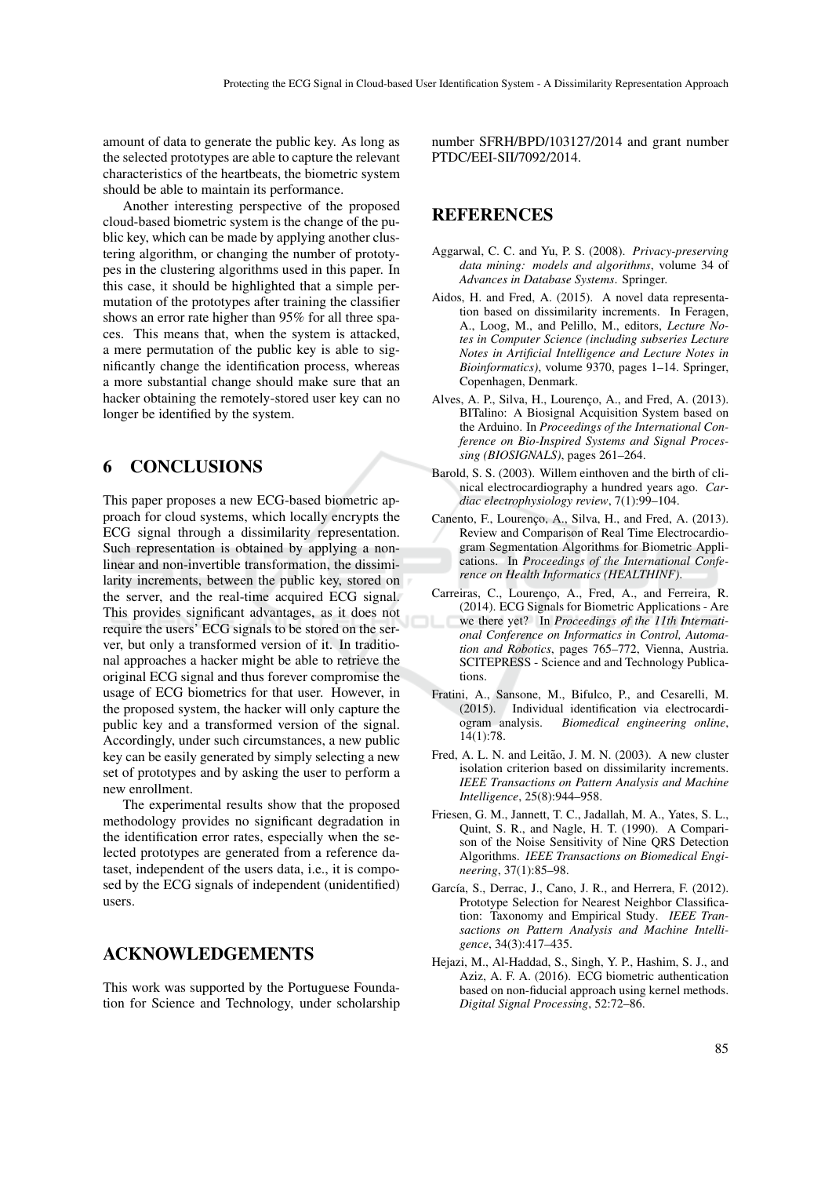amount of data to generate the public key. As long as the selected prototypes are able to capture the relevant characteristics of the heartbeats, the biometric system should be able to maintain its performance.

Another interesting perspective of the proposed cloud-based biometric system is the change of the public key, which can be made by applying another clustering algorithm, or changing the number of prototypes in the clustering algorithms used in this paper. In this case, it should be highlighted that a simple permutation of the prototypes after training the classifier shows an error rate higher than 95% for all three spaces. This means that, when the system is attacked, a mere permutation of the public key is able to significantly change the identification process, whereas a more substantial change should make sure that an hacker obtaining the remotely-stored user key can no longer be identified by the system.

# 6 CONCLUSIONS

This paper proposes a new ECG-based biometric approach for cloud systems, which locally encrypts the ECG signal through a dissimilarity representation. Such representation is obtained by applying a nonlinear and non-invertible transformation, the dissimilarity increments, between the public key, stored on the server, and the real-time acquired ECG signal. This provides significant advantages, as it does not require the users' ECG signals to be stored on the server, but only a transformed version of it. In traditional approaches a hacker might be able to retrieve the original ECG signal and thus forever compromise the usage of ECG biometrics for that user. However, in the proposed system, the hacker will only capture the public key and a transformed version of the signal. Accordingly, under such circumstances, a new public key can be easily generated by simply selecting a new set of prototypes and by asking the user to perform a new enrollment.

The experimental results show that the proposed methodology provides no significant degradation in the identification error rates, especially when the selected prototypes are generated from a reference dataset, independent of the users data, i.e., it is composed by the ECG signals of independent (unidentified) users.

# ACKNOWLEDGEMENTS

This work was supported by the Portuguese Foundation for Science and Technology, under scholarship number SFRH/BPD/103127/2014 and grant number PTDC/EEI-SII/7092/2014.

# REFERENCES

- Aggarwal, C. C. and Yu, P. S. (2008). *Privacy-preserving data mining: models and algorithms*, volume 34 of *Advances in Database Systems*. Springer.
- Aidos, H. and Fred, A. (2015). A novel data representation based on dissimilarity increments. In Feragen, A., Loog, M., and Pelillo, M., editors, *Lecture Notes in Computer Science (including subseries Lecture Notes in Artificial Intelligence and Lecture Notes in Bioinformatics)*, volume 9370, pages 1–14. Springer, Copenhagen, Denmark.
- Alves, A. P., Silva, H., Lourenço, A., and Fred, A. (2013). BITalino: A Biosignal Acquisition System based on the Arduino. In *Proceedings of the International Conference on Bio-Inspired Systems and Signal Processing (BIOSIGNALS)*, pages 261–264.
- Barold, S. S. (2003). Willem einthoven and the birth of clinical electrocardiography a hundred years ago. *Cardiac electrophysiology review*, 7(1):99–104.
- Canento, F., Lourenço, A., Silva, H., and Fred, A. (2013). Review and Comparison of Real Time Electrocardiogram Segmentation Algorithms for Biometric Applications. In *Proceedings of the International Conference on Health Informatics (HEALTHINF)*.
- Carreiras, C., Lourenço, A., Fred, A., and Ferreira, R. (2014). ECG Signals for Biometric Applications - Are we there yet? In *Proceedings of the 11th International Conference on Informatics in Control, Automation and Robotics*, pages 765–772, Vienna, Austria. SCITEPRESS - Science and and Technology Publications.
- Fratini, A., Sansone, M., Bifulco, P., and Cesarelli, M. (2015). Individual identification via electrocardiogram analysis. *Biomedical engineering online*, 14(1):78.
- Fred, A. L. N. and Leitão, J. M. N. (2003). A new cluster isolation criterion based on dissimilarity increments. *IEEE Transactions on Pattern Analysis and Machine Intelligence*, 25(8):944–958.
- Friesen, G. M., Jannett, T. C., Jadallah, M. A., Yates, S. L., Quint, S. R., and Nagle, H. T. (1990). A Comparison of the Noise Sensitivity of Nine QRS Detection Algorithms. *IEEE Transactions on Biomedical Engineering*, 37(1):85–98.
- García, S., Derrac, J., Cano, J. R., and Herrera, F. (2012). Prototype Selection for Nearest Neighbor Classification: Taxonomy and Empirical Study. *IEEE Transactions on Pattern Analysis and Machine Intelligence*, 34(3):417–435.
- Hejazi, M., Al-Haddad, S., Singh, Y. P., Hashim, S. J., and Aziz, A. F. A. (2016). ECG biometric authentication based on non-fiducial approach using kernel methods. *Digital Signal Processing*, 52:72–86.